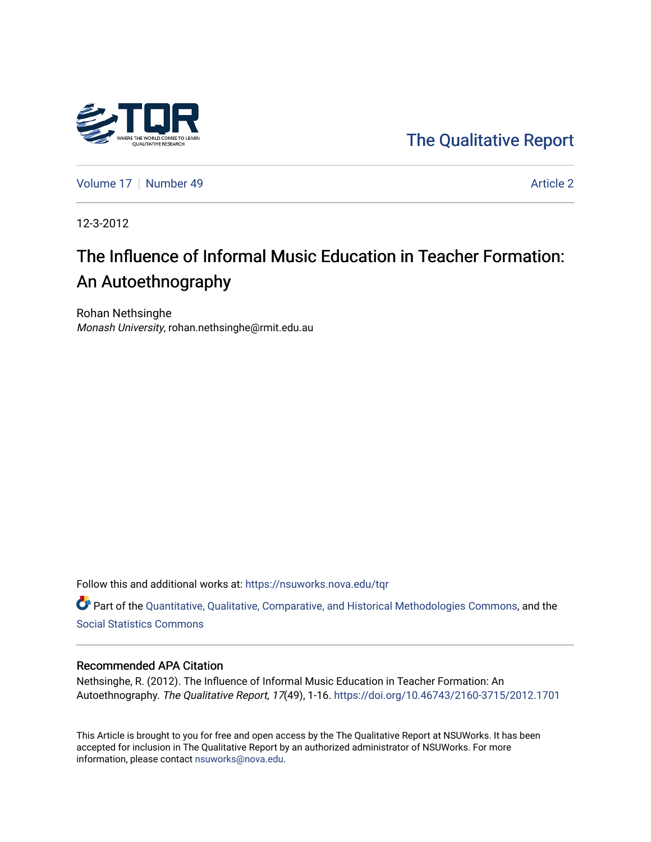

[The Qualitative Report](https://nsuworks.nova.edu/tqr) 

[Volume 17](https://nsuworks.nova.edu/tqr/vol17) [Number 49](https://nsuworks.nova.edu/tqr/vol17/iss49) Article 2

12-3-2012

# The Influence of Informal Music Education in Teacher Formation: An Autoethnography

Rohan Nethsinghe Monash University, rohan.nethsinghe@rmit.edu.au

Follow this and additional works at: [https://nsuworks.nova.edu/tqr](https://nsuworks.nova.edu/tqr?utm_source=nsuworks.nova.edu%2Ftqr%2Fvol17%2Fiss49%2F2&utm_medium=PDF&utm_campaign=PDFCoverPages) 

Part of the [Quantitative, Qualitative, Comparative, and Historical Methodologies Commons,](http://network.bepress.com/hgg/discipline/423?utm_source=nsuworks.nova.edu%2Ftqr%2Fvol17%2Fiss49%2F2&utm_medium=PDF&utm_campaign=PDFCoverPages) and the [Social Statistics Commons](http://network.bepress.com/hgg/discipline/1275?utm_source=nsuworks.nova.edu%2Ftqr%2Fvol17%2Fiss49%2F2&utm_medium=PDF&utm_campaign=PDFCoverPages) 

#### Recommended APA Citation

Nethsinghe, R. (2012). The Influence of Informal Music Education in Teacher Formation: An Autoethnography. The Qualitative Report, 17(49), 1-16.<https://doi.org/10.46743/2160-3715/2012.1701>

This Article is brought to you for free and open access by the The Qualitative Report at NSUWorks. It has been accepted for inclusion in The Qualitative Report by an authorized administrator of NSUWorks. For more information, please contact [nsuworks@nova.edu.](mailto:nsuworks@nova.edu)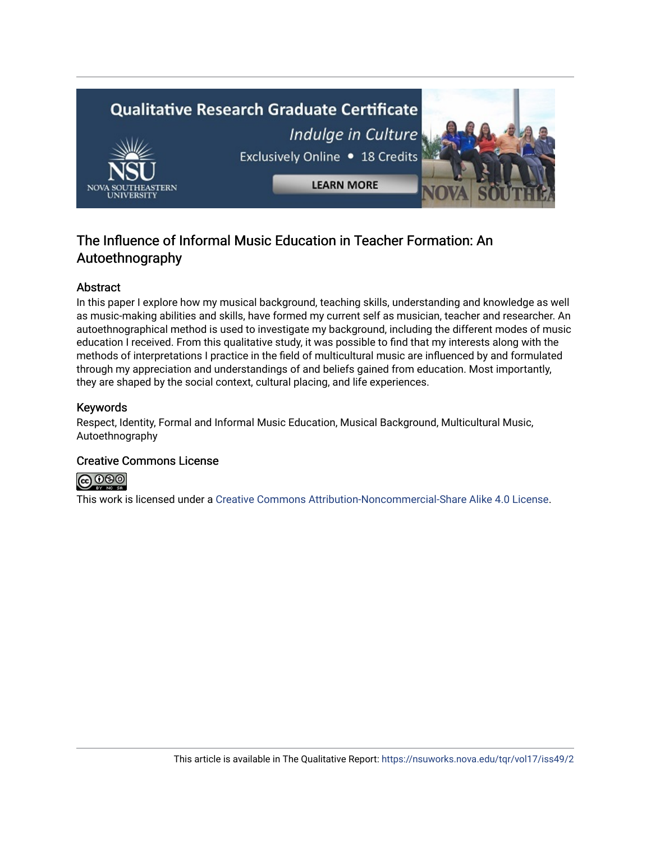

## The Influence of Informal Music Education in Teacher Formation: An Autoethnography

## Abstract

In this paper I explore how my musical background, teaching skills, understanding and knowledge as well as music-making abilities and skills, have formed my current self as musician, teacher and researcher. An autoethnographical method is used to investigate my background, including the different modes of music education I received. From this qualitative study, it was possible to find that my interests along with the methods of interpretations I practice in the field of multicultural music are influenced by and formulated through my appreciation and understandings of and beliefs gained from education. Most importantly, they are shaped by the social context, cultural placing, and life experiences.

## Keywords

Respect, Identity, Formal and Informal Music Education, Musical Background, Multicultural Music, Autoethnography

## Creative Commons License



This work is licensed under a [Creative Commons Attribution-Noncommercial-Share Alike 4.0 License](https://creativecommons.org/licenses/by-nc-sa/4.0/).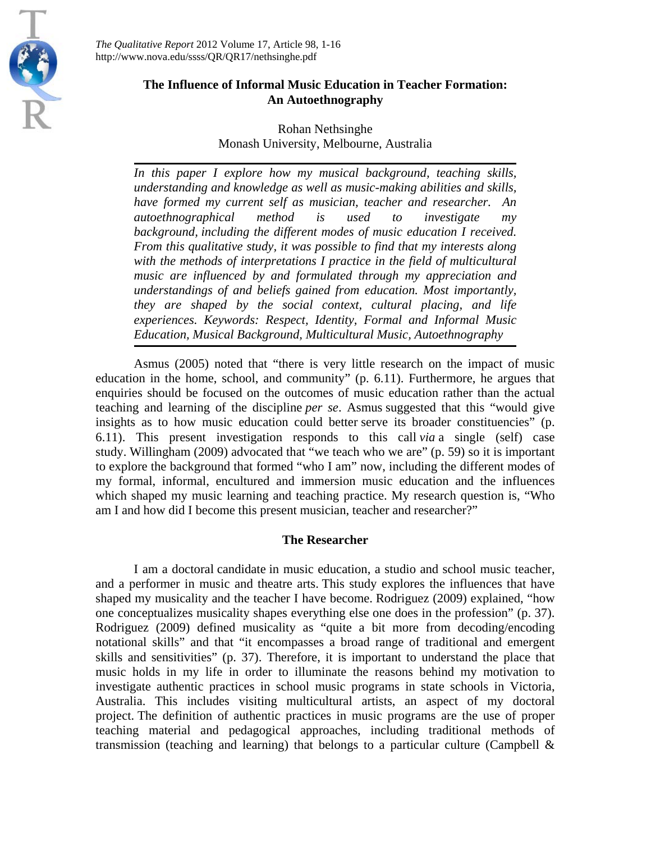

*The Qualitative Report* 2012 Volume 17, Article 98, 1-16 http://www.nova.edu/ssss/QR/QR17/nethsinghe.pdf

## **The Influence of Informal Music Education in Teacher Formation: An Autoethnography**

## Rohan Nethsinghe Monash University, Melbourne, Australia

*In this paper I explore how my musical background, teaching skills, understanding and knowledge as well as music-making abilities and skills, have formed my current self as musician, teacher and researcher. An autoethnographical method is used to investigate my background, including the different modes of music education I received. From this qualitative study, it was possible to find that my interests along*  with the methods of interpretations I practice in the field of multicultural *music are influenced by and formulated through my appreciation and understandings of and beliefs gained from education. Most importantly, they are shaped by the social context, cultural placing, and life experiences. Keywords: Respect, Identity, Formal and Informal Music Education, Musical Background, Multicultural Music, Autoethnography*

Asmus (2005) noted that "there is very little research on the impact of music education in the home, school, and community" (p. 6.11). Furthermore, he argues that enquiries should be focused on the outcomes of music education rather than the actual teaching and learning of the discipline *per se*. Asmus suggested that this "would give insights as to how music education could better serve its broader constituencies" (p. 6.11). This present investigation responds to this call *via* a single (self) case study. Willingham (2009) advocated that "we teach who we are" (p. 59) so it is important to explore the background that formed "who I am" now, including the different modes of my formal, informal, encultured and immersion music education and the influences which shaped my music learning and teaching practice. My research question is, "Who am I and how did I become this present musician, teacher and researcher?"

## **The Researcher**

I am a doctoral candidate in music education, a studio and school music teacher, and a performer in music and theatre arts. This study explores the influences that have shaped my musicality and the teacher I have become. Rodriguez (2009) explained, "how one conceptualizes musicality shapes everything else one does in the profession" (p. 37). Rodriguez (2009) defined musicality as "quite a bit more from decoding/encoding notational skills" and that "it encompasses a broad range of traditional and emergent skills and sensitivities" (p. 37). Therefore, it is important to understand the place that music holds in my life in order to illuminate the reasons behind my motivation to investigate authentic practices in school music programs in state schools in Victoria, Australia. This includes visiting multicultural artists, an aspect of my doctoral project. The definition of authentic practices in music programs are the use of proper teaching material and pedagogical approaches, including traditional methods of transmission (teaching and learning) that belongs to a particular culture (Campbell  $\&$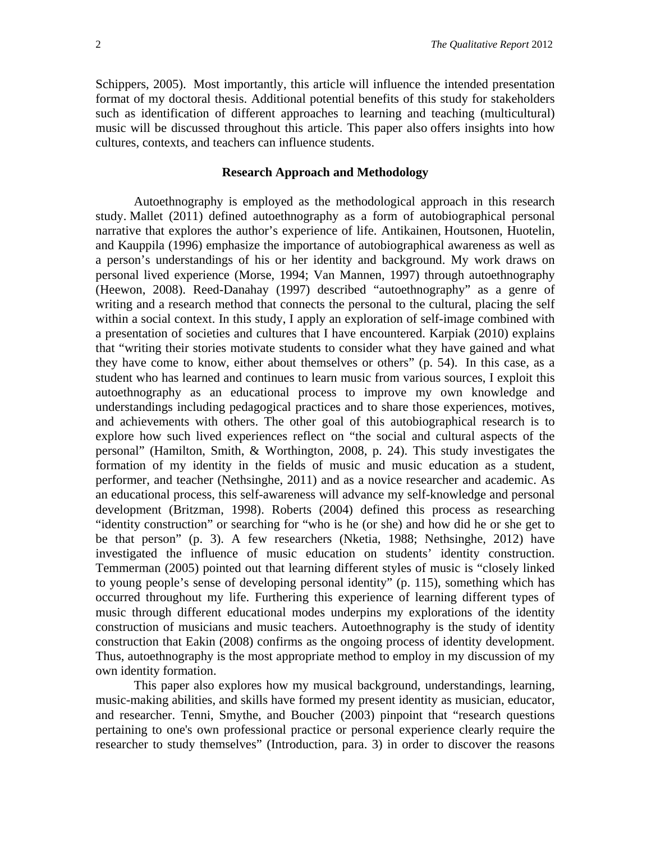Schippers, 2005). Most importantly, this article will influence the intended presentation format of my doctoral thesis. Additional potential benefits of this study for stakeholders such as identification of different approaches to learning and teaching (multicultural) music will be discussed throughout this article. This paper also offers insights into how cultures, contexts, and teachers can influence students.

#### **Research Approach and Methodology**

Autoethnography is employed as the methodological approach in this research study. Mallet (2011) defined autoethnography as a form of autobiographical personal narrative that explores the author's experience of life. Antikainen, Houtsonen, Huotelin, and Kauppila (1996) emphasize the importance of autobiographical awareness as well as a person's understandings of his or her identity and background. My work draws on personal lived experience (Morse, 1994; Van Mannen, 1997) through autoethnography (Heewon, 2008). Reed-Danahay (1997) described "autoethnography" as a genre of writing and a research method that connects the personal to the cultural, placing the self within a social context. In this study, I apply an exploration of self-image combined with a presentation of societies and cultures that I have encountered. Karpiak (2010) explains that "writing their stories motivate students to consider what they have gained and what they have come to know, either about themselves or others" (p. 54). In this case, as a student who has learned and continues to learn music from various sources, I exploit this autoethnography as an educational process to improve my own knowledge and understandings including pedagogical practices and to share those experiences, motives, and achievements with others. The other goal of this autobiographical research is to explore how such lived experiences reflect on "the social and cultural aspects of the personal" (Hamilton, Smith, & Worthington, 2008, p. 24). This study investigates the formation of my identity in the fields of music and music education as a student, performer, and teacher (Nethsinghe, 2011) and as a novice researcher and academic. As an educational process, this self-awareness will advance my self-knowledge and personal development (Britzman, 1998). Roberts (2004) defined this process as researching "identity construction" or searching for "who is he (or she) and how did he or she get to be that person" (p. 3). A few researchers (Nketia, 1988; Nethsinghe, 2012) have investigated the influence of music education on students' identity construction. Temmerman (2005) pointed out that learning different styles of music is "closely linked to young people's sense of developing personal identity" (p. 115), something which has occurred throughout my life. Furthering this experience of learning different types of music through different educational modes underpins my explorations of the identity construction of musicians and music teachers. Autoethnography is the study of identity construction that Eakin (2008) confirms as the ongoing process of identity development. Thus, autoethnography is the most appropriate method to employ in my discussion of my own identity formation.

This paper also explores how my musical background, understandings, learning, music-making abilities, and skills have formed my present identity as musician, educator, and researcher. Tenni, Smythe, and Boucher (2003) pinpoint that "research questions pertaining to one's own professional practice or personal experience clearly require the researcher to study themselves" (Introduction, para. 3) in order to discover the reasons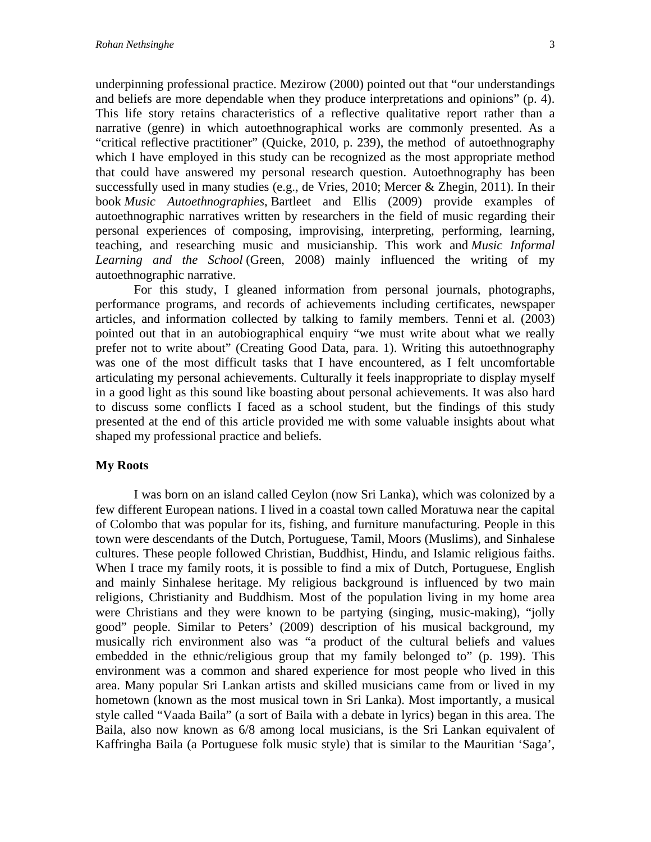underpinning professional practice. Mezirow (2000) pointed out that "our understandings and beliefs are more dependable when they produce interpretations and opinions" (p. 4). This life story retains characteristics of a reflective qualitative report rather than a narrative (genre) in which autoethnographical works are commonly presented. As a "critical reflective practitioner" (Quicke, 2010, p. 239), the method of autoethnography which I have employed in this study can be recognized as the most appropriate method that could have answered my personal research question. Autoethnography has been successfully used in many studies (e.g., de Vries, 2010; Mercer & Zhegin, 2011). In their book *Music Autoethnographies*, Bartleet and Ellis (2009) provide examples of autoethnographic narratives written by researchers in the field of music regarding their personal experiences of composing, improvising, interpreting, performing, learning, teaching, and researching music and musicianship. This work and *Music Informal Learning and the School* (Green, 2008) mainly influenced the writing of my autoethnographic narrative.

For this study, I gleaned information from personal journals, photographs, performance programs, and records of achievements including certificates, newspaper articles, and information collected by talking to family members. Tenni et al. (2003) pointed out that in an autobiographical enquiry "we must write about what we really prefer not to write about" (Creating Good Data, para. 1). Writing this autoethnography was one of the most difficult tasks that I have encountered, as I felt uncomfortable articulating my personal achievements. Culturally it feels inappropriate to display myself in a good light as this sound like boasting about personal achievements. It was also hard to discuss some conflicts I faced as a school student, but the findings of this study presented at the end of this article provided me with some valuable insights about what shaped my professional practice and beliefs.

#### **My Roots**

I was born on an island called Ceylon (now Sri Lanka), which was colonized by a few different European nations. I lived in a coastal town called Moratuwa near the capital of Colombo that was popular for its, fishing, and furniture manufacturing. People in this town were descendants of the Dutch, Portuguese, Tamil, Moors (Muslims), and Sinhalese cultures. These people followed Christian, Buddhist, Hindu, and Islamic religious faiths. When I trace my family roots, it is possible to find a mix of Dutch, Portuguese, English and mainly Sinhalese heritage. My religious background is influenced by two main religions, Christianity and Buddhism. Most of the population living in my home area were Christians and they were known to be partying (singing, music-making), "jolly good" people. Similar to Peters' (2009) description of his musical background, my musically rich environment also was "a product of the cultural beliefs and values embedded in the ethnic/religious group that my family belonged to" (p. 199). This environment was a common and shared experience for most people who lived in this area. Many popular Sri Lankan artists and skilled musicians came from or lived in my hometown (known as the most musical town in Sri Lanka). Most importantly, a musical style called "Vaada Baila" (a sort of Baila with a debate in lyrics) began in this area. The Baila, also now known as 6/8 among local musicians, is the Sri Lankan equivalent of Kaffringha Baila (a Portuguese folk music style) that is similar to the Mauritian 'Saga',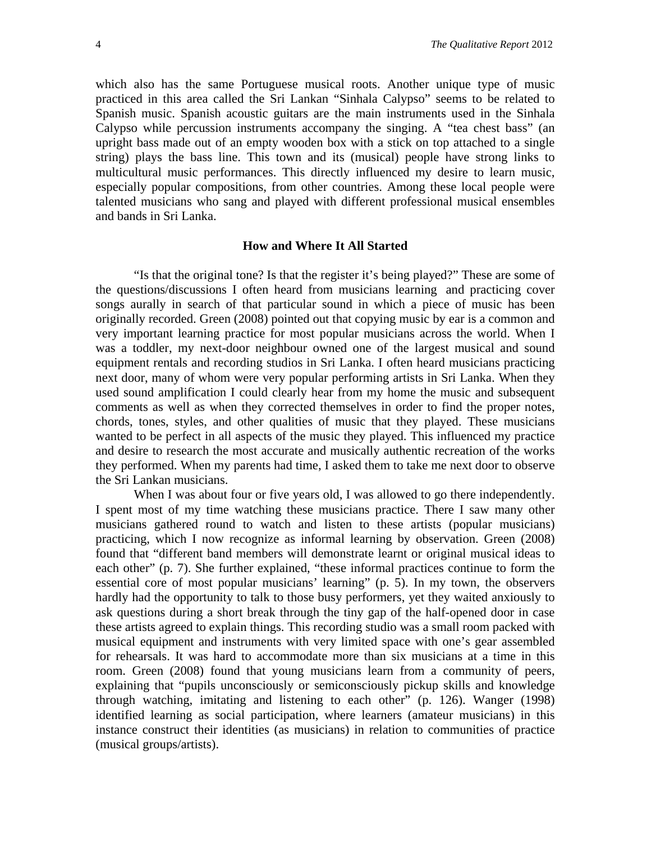which also has the same Portuguese musical roots. Another unique type of music practiced in this area called the Sri Lankan "Sinhala Calypso" seems to be related to Spanish music. Spanish acoustic guitars are the main instruments used in the Sinhala Calypso while percussion instruments accompany the singing. A "tea chest bass" (an upright bass made out of an empty wooden box with a stick on top attached to a single string) plays the bass line. This town and its (musical) people have strong links to multicultural music performances. This directly influenced my desire to learn music, especially popular compositions, from other countries. Among these local people were talented musicians who sang and played with different professional musical ensembles and bands in Sri Lanka.

#### **How and Where It All Started**

"Is that the original tone? Is that the register it's being played?" These are some of the questions/discussions I often heard from musicians learning and practicing cover songs aurally in search of that particular sound in which a piece of music has been originally recorded. Green (2008) pointed out that copying music by ear is a common and very important learning practice for most popular musicians across the world. When I was a toddler, my next-door neighbour owned one of the largest musical and sound equipment rentals and recording studios in Sri Lanka. I often heard musicians practicing next door, many of whom were very popular performing artists in Sri Lanka. When they used sound amplification I could clearly hear from my home the music and subsequent comments as well as when they corrected themselves in order to find the proper notes, chords, tones, styles, and other qualities of music that they played. These musicians wanted to be perfect in all aspects of the music they played. This influenced my practice and desire to research the most accurate and musically authentic recreation of the works they performed. When my parents had time, I asked them to take me next door to observe the Sri Lankan musicians.

When I was about four or five years old, I was allowed to go there independently. I spent most of my time watching these musicians practice. There I saw many other musicians gathered round to watch and listen to these artists (popular musicians) practicing, which I now recognize as informal learning by observation. Green (2008) found that "different band members will demonstrate learnt or original musical ideas to each other" (p. 7). She further explained, "these informal practices continue to form the essential core of most popular musicians' learning" (p. 5). In my town, the observers hardly had the opportunity to talk to those busy performers, yet they waited anxiously to ask questions during a short break through the tiny gap of the half-opened door in case these artists agreed to explain things. This recording studio was a small room packed with musical equipment and instruments with very limited space with one's gear assembled for rehearsals. It was hard to accommodate more than six musicians at a time in this room. Green (2008) found that young musicians learn from a community of peers, explaining that "pupils unconsciously or semiconsciously pickup skills and knowledge through watching, imitating and listening to each other" (p. 126). Wanger (1998) identified learning as social participation, where learners (amateur musicians) in this instance construct their identities (as musicians) in relation to communities of practice (musical groups/artists).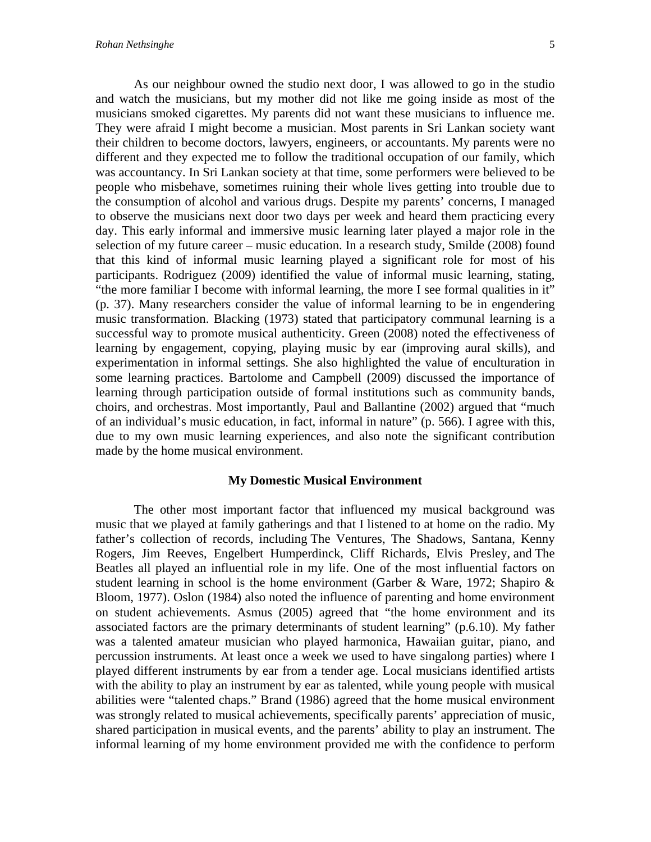As our neighbour owned the studio next door, I was allowed to go in the studio and watch the musicians, but my mother did not like me going inside as most of the musicians smoked cigarettes. My parents did not want these musicians to influence me. They were afraid I might become a musician. Most parents in Sri Lankan society want their children to become doctors, lawyers, engineers, or accountants. My parents were no different and they expected me to follow the traditional occupation of our family, which was accountancy. In Sri Lankan society at that time, some performers were believed to be people who misbehave, sometimes ruining their whole lives getting into trouble due to the consumption of alcohol and various drugs. Despite my parents' concerns, I managed to observe the musicians next door two days per week and heard them practicing every day. This early informal and immersive music learning later played a major role in the selection of my future career – music education. In a research study, Smilde (2008) found that this kind of informal music learning played a significant role for most of his participants. Rodriguez (2009) identified the value of informal music learning, stating, "the more familiar I become with informal learning, the more I see formal qualities in it" (p. 37). Many researchers consider the value of informal learning to be in engendering music transformation. Blacking (1973) stated that participatory communal learning is a successful way to promote musical authenticity. Green (2008) noted the effectiveness of learning by engagement, copying, playing music by ear (improving aural skills), and experimentation in informal settings. She also highlighted the value of enculturation in some learning practices. Bartolome and Campbell (2009) discussed the importance of learning through participation outside of formal institutions such as community bands, choirs, and orchestras. Most importantly, Paul and Ballantine (2002) argued that "much of an individual's music education, in fact, informal in nature" (p. 566). I agree with this, due to my own music learning experiences, and also note the significant contribution made by the home musical environment.

#### **My Domestic Musical Environment**

The other most important factor that influenced my musical background was music that we played at family gatherings and that I listened to at home on the radio. My father's collection of records, including The Ventures, The Shadows, Santana, Kenny Rogers, Jim Reeves, Engelbert Humperdinck, Cliff Richards, Elvis Presley, and The Beatles all played an influential role in my life. One of the most influential factors on student learning in school is the home environment (Garber & Ware, 1972; Shapiro  $\&$ Bloom, 1977). Oslon (1984) also noted the influence of parenting and home environment on student achievements. Asmus (2005) agreed that "the home environment and its associated factors are the primary determinants of student learning" (p.6.10). My father was a talented amateur musician who played harmonica, Hawaiian guitar, piano, and percussion instruments. At least once a week we used to have singalong parties) where I played different instruments by ear from a tender age. Local musicians identified artists with the ability to play an instrument by ear as talented, while young people with musical abilities were "talented chaps." Brand (1986) agreed that the home musical environment was strongly related to musical achievements, specifically parents' appreciation of music, shared participation in musical events, and the parents' ability to play an instrument. The informal learning of my home environment provided me with the confidence to perform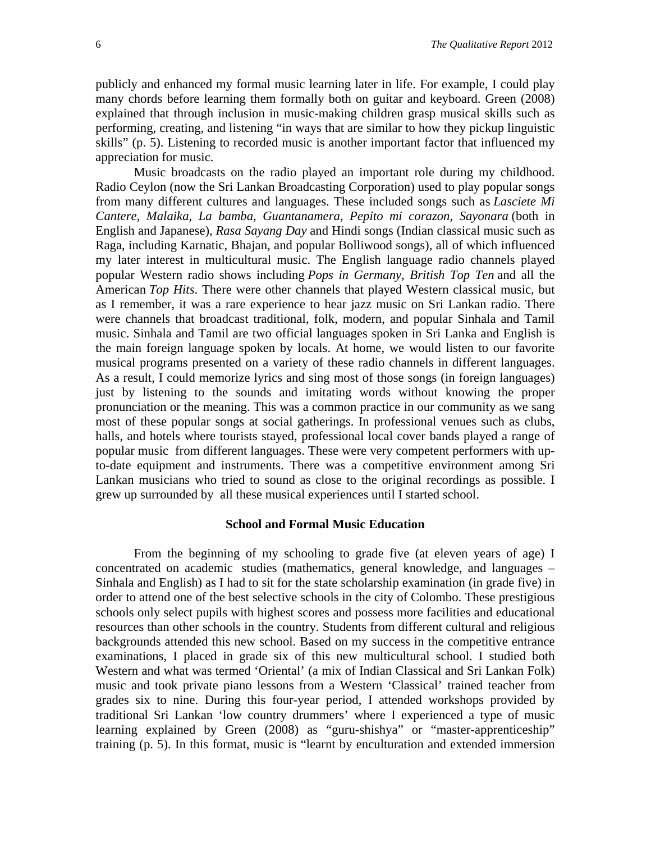publicly and enhanced my formal music learning later in life. For example, I could play many chords before learning them formally both on guitar and keyboard. Green (2008) explained that through inclusion in music-making children grasp musical skills such as performing, creating, and listening "in ways that are similar to how they pickup linguistic skills" (p. 5). Listening to recorded music is another important factor that influenced my appreciation for music.

Music broadcasts on the radio played an important role during my childhood. Radio Ceylon (now the Sri Lankan Broadcasting Corporation) used to play popular songs from many different cultures and languages. These included songs such as *Lasciete Mi Cantere, Malaika, La bamba, Guantanamera, Pepito mi corazon, Sayonara* (both in English and Japanese), *Rasa Sayang Day* and Hindi songs (Indian classical music such as Raga, including Karnatic, Bhajan, and popular Bolliwood songs), all of which influenced my later interest in multicultural music. The English language radio channels played popular Western radio shows including *Pops in Germany, British Top Ten* and all the American *Top Hits*. There were other channels that played Western classical music, but as I remember, it was a rare experience to hear jazz music on Sri Lankan radio. There were channels that broadcast traditional, folk, modern, and popular Sinhala and Tamil music. Sinhala and Tamil are two official languages spoken in Sri Lanka and English is the main foreign language spoken by locals. At home, we would listen to our favorite musical programs presented on a variety of these radio channels in different languages. As a result, I could memorize lyrics and sing most of those songs (in foreign languages) just by listening to the sounds and imitating words without knowing the proper pronunciation or the meaning. This was a common practice in our community as we sang most of these popular songs at social gatherings. In professional venues such as clubs, halls, and hotels where tourists stayed, professional local cover bands played a range of popular music from different languages. These were very competent performers with upto-date equipment and instruments. There was a competitive environment among Sri Lankan musicians who tried to sound as close to the original recordings as possible. I grew up surrounded by all these musical experiences until I started school.

#### **School and Formal Music Education**

From the beginning of my schooling to grade five (at eleven years of age) I concentrated on academic studies (mathematics, general knowledge, and languages – Sinhala and English) as I had to sit for the state scholarship examination (in grade five) in order to attend one of the best selective schools in the city of Colombo. These prestigious schools only select pupils with highest scores and possess more facilities and educational resources than other schools in the country. Students from different cultural and religious backgrounds attended this new school. Based on my success in the competitive entrance examinations, I placed in grade six of this new multicultural school. I studied both Western and what was termed 'Oriental' (a mix of Indian Classical and Sri Lankan Folk) music and took private piano lessons from a Western 'Classical' trained teacher from grades six to nine. During this four-year period, I attended workshops provided by traditional Sri Lankan 'low country drummers' where I experienced a type of music learning explained by Green (2008) as "guru-shishya" or "master-apprenticeship" training (p. 5). In this format, music is "learnt by enculturation and extended immersion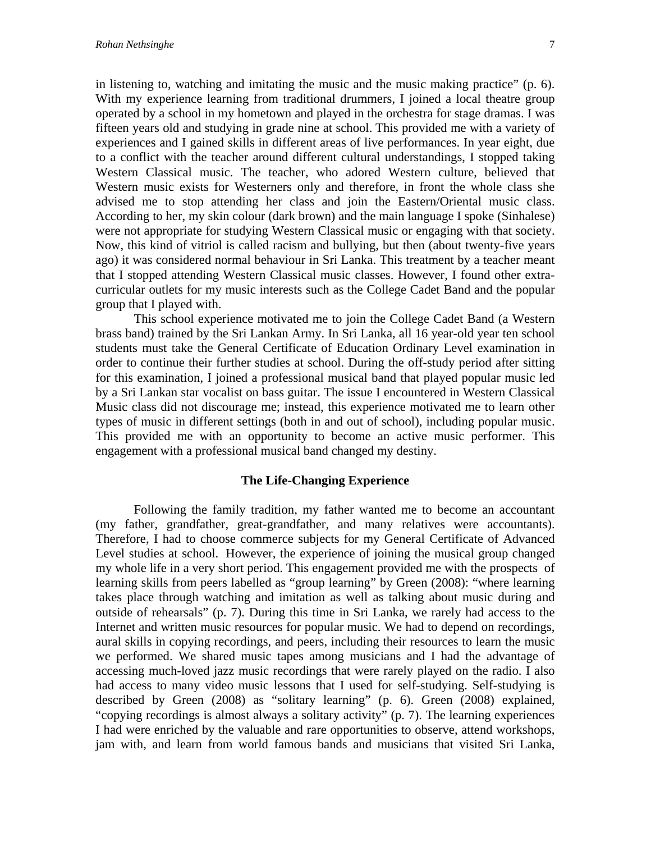in listening to, watching and imitating the music and the music making practice" (p. 6). With my experience learning from traditional drummers, I joined a local theatre group operated by a school in my hometown and played in the orchestra for stage dramas. I was fifteen years old and studying in grade nine at school. This provided me with a variety of experiences and I gained skills in different areas of live performances. In year eight, due to a conflict with the teacher around different cultural understandings, I stopped taking Western Classical music. The teacher, who adored Western culture, believed that Western music exists for Westerners only and therefore, in front the whole class she advised me to stop attending her class and join the Eastern/Oriental music class. According to her, my skin colour (dark brown) and the main language I spoke (Sinhalese) were not appropriate for studying Western Classical music or engaging with that society. Now, this kind of vitriol is called racism and bullying, but then (about twenty-five years ago) it was considered normal behaviour in Sri Lanka. This treatment by a teacher meant that I stopped attending Western Classical music classes. However, I found other extracurricular outlets for my music interests such as the College Cadet Band and the popular group that I played with.

This school experience motivated me to join the College Cadet Band (a Western brass band) trained by the Sri Lankan Army. In Sri Lanka, all 16 year-old year ten school students must take the General Certificate of Education Ordinary Level examination in order to continue their further studies at school. During the off-study period after sitting for this examination, I joined a professional musical band that played popular music led by a Sri Lankan star vocalist on bass guitar. The issue I encountered in Western Classical Music class did not discourage me; instead, this experience motivated me to learn other types of music in different settings (both in and out of school), including popular music. This provided me with an opportunity to become an active music performer. This engagement with a professional musical band changed my destiny.

#### **The Life-Changing Experience**

Following the family tradition, my father wanted me to become an accountant (my father, grandfather, great-grandfather, and many relatives were accountants). Therefore, I had to choose commerce subjects for my General Certificate of Advanced Level studies at school. However, the experience of joining the musical group changed my whole life in a very short period. This engagement provided me with the prospects of learning skills from peers labelled as "group learning" by Green (2008): "where learning takes place through watching and imitation as well as talking about music during and outside of rehearsals" (p. 7). During this time in Sri Lanka, we rarely had access to the Internet and written music resources for popular music. We had to depend on recordings, aural skills in copying recordings, and peers, including their resources to learn the music we performed. We shared music tapes among musicians and I had the advantage of accessing much-loved jazz music recordings that were rarely played on the radio. I also had access to many video music lessons that I used for self-studying. Self-studying is described by Green (2008) as "solitary learning" (p. 6). Green (2008) explained, "copying recordings is almost always a solitary activity" (p. 7). The learning experiences I had were enriched by the valuable and rare opportunities to observe, attend workshops, jam with, and learn from world famous bands and musicians that visited Sri Lanka,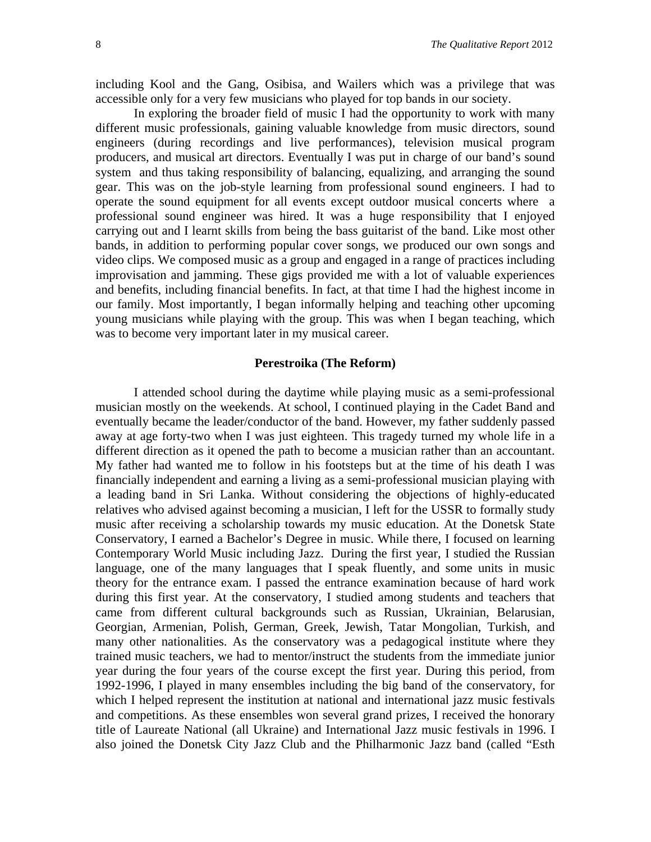including Kool and the Gang, Osibisa, and Wailers which was a privilege that was accessible only for a very few musicians who played for top bands in our society.

In exploring the broader field of music I had the opportunity to work with many different music professionals, gaining valuable knowledge from music directors, sound engineers (during recordings and live performances), television musical program producers, and musical art directors. Eventually I was put in charge of our band's sound system and thus taking responsibility of balancing, equalizing, and arranging the sound gear. This was on the job-style learning from professional sound engineers. I had to operate the sound equipment for all events except outdoor musical concerts where a professional sound engineer was hired. It was a huge responsibility that I enjoyed carrying out and I learnt skills from being the bass guitarist of the band. Like most other bands, in addition to performing popular cover songs, we produced our own songs and video clips. We composed music as a group and engaged in a range of practices including improvisation and jamming. These gigs provided me with a lot of valuable experiences and benefits, including financial benefits. In fact, at that time I had the highest income in our family. Most importantly, I began informally helping and teaching other upcoming young musicians while playing with the group. This was when I began teaching, which was to become very important later in my musical career.

#### **Perestroika (The Reform)**

I attended school during the daytime while playing music as a semi-professional musician mostly on the weekends. At school, I continued playing in the Cadet Band and eventually became the leader/conductor of the band. However, my father suddenly passed away at age forty-two when I was just eighteen. This tragedy turned my whole life in a different direction as it opened the path to become a musician rather than an accountant. My father had wanted me to follow in his footsteps but at the time of his death I was financially independent and earning a living as a semi-professional musician playing with a leading band in Sri Lanka. Without considering the objections of highly-educated relatives who advised against becoming a musician, I left for the USSR to formally study music after receiving a scholarship towards my music education. At the Donetsk State Conservatory, I earned a Bachelor's Degree in music. While there, I focused on learning Contemporary World Music including Jazz. During the first year, I studied the Russian language, one of the many languages that I speak fluently, and some units in music theory for the entrance exam. I passed the entrance examination because of hard work during this first year. At the conservatory, I studied among students and teachers that came from different cultural backgrounds such as Russian, Ukrainian, Belarusian, Georgian, Armenian, Polish, German, Greek, Jewish, Tatar Mongolian, Turkish, and many other nationalities. As the conservatory was a pedagogical institute where they trained music teachers, we had to mentor/instruct the students from the immediate junior year during the four years of the course except the first year. During this period, from 1992-1996, I played in many ensembles including the big band of the conservatory, for which I helped represent the institution at national and international jazz music festivals and competitions. As these ensembles won several grand prizes, I received the honorary title of Laureate National (all Ukraine) and International Jazz music festivals in 1996. I also joined the Donetsk City Jazz Club and the Philharmonic Jazz band (called "Esth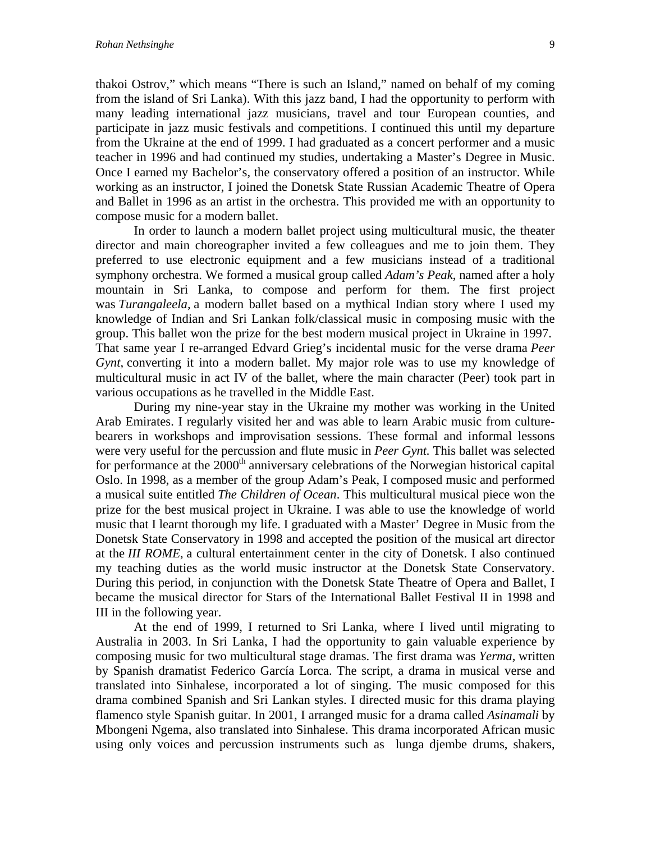thakoi Ostrov," which means "There is such an Island," named on behalf of my coming from the island of Sri Lanka). With this jazz band, I had the opportunity to perform with many leading international jazz musicians, travel and tour European counties, and participate in jazz music festivals and competitions. I continued this until my departure from the Ukraine at the end of 1999. I had graduated as a concert performer and a music teacher in 1996 and had continued my studies, undertaking a Master's Degree in Music. Once I earned my Bachelor's, the conservatory offered a position of an instructor. While working as an instructor, I joined the Donetsk State Russian Academic Theatre of Opera and Ballet in 1996 as an artist in the orchestra. This provided me with an opportunity to compose music for a modern ballet.

In order to launch a modern ballet project using multicultural music, the theater director and main choreographer invited a few colleagues and me to join them. They preferred to use electronic equipment and a few musicians instead of a traditional symphony orchestra. We formed a musical group called *Adam's Peak*, named after a holy mountain in Sri Lanka, to compose and perform for them. The first project was *Turangaleela,* a modern ballet based on a mythical Indian story where I used my knowledge of Indian and Sri Lankan folk/classical music in composing music with the group. This ballet won the prize for the best modern musical project in Ukraine in 1997. That same year I re-arranged Edvard Grieg's incidental music for the verse drama *Peer Gynt*, converting it into a modern ballet. My major role was to use my knowledge of multicultural music in act IV of the ballet, where the main character (Peer) took part in various occupations as he travelled in the Middle East.

During my nine-year stay in the Ukraine my mother was working in the United Arab Emirates. I regularly visited her and was able to learn Arabic music from culturebearers in workshops and improvisation sessions. These formal and informal lessons were very useful for the percussion and flute music in *Peer Gynt.* This ballet was selected for performance at the  $2000<sup>th</sup>$  anniversary celebrations of the Norwegian historical capital Oslo. In 1998, as a member of the group Adam's Peak, I composed music and performed a musical suite entitled *The Children of Ocean*. This multicultural musical piece won the prize for the best musical project in Ukraine. I was able to use the knowledge of world music that I learnt thorough my life. I graduated with a Master' Degree in Music from the Donetsk State Conservatory in 1998 and accepted the position of the musical art director at the *III ROME*, a cultural entertainment center in the city of Donetsk. I also continued my teaching duties as the world music instructor at the Donetsk State Conservatory. During this period, in conjunction with the Donetsk State Theatre of Opera and Ballet, I became the musical director for Stars of the International Ballet Festival II in 1998 and III in the following year.

At the end of 1999, I returned to Sri Lanka, where I lived until migrating to Australia in 2003. In Sri Lanka, I had the opportunity to gain valuable experience by composing music for two multicultural stage dramas. The first drama was *Yerma,* written by Spanish dramatist Federico García Lorca. The script, a drama in musical verse and translated into Sinhalese, incorporated a lot of singing. The music composed for this drama combined Spanish and Sri Lankan styles. I directed music for this drama playing flamenco style Spanish guitar. In 2001, I arranged music for a drama called *Asinamali* by Mbongeni Ngema, also translated into Sinhalese. This drama incorporated African music using only voices and percussion instruments such as lunga djembe drums, shakers,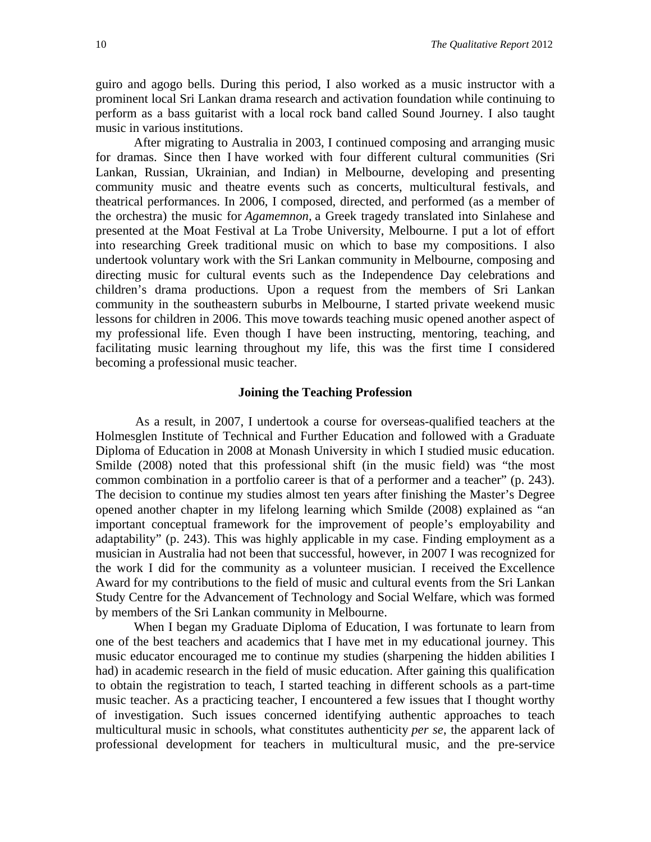guiro and agogo bells. During this period, I also worked as a music instructor with a prominent local Sri Lankan drama research and activation foundation while continuing to perform as a bass guitarist with a local rock band called Sound Journey. I also taught music in various institutions.

After migrating to Australia in 2003, I continued composing and arranging music for dramas. Since then I have worked with four different cultural communities (Sri Lankan, Russian, Ukrainian, and Indian) in Melbourne, developing and presenting community music and theatre events such as concerts, multicultural festivals, and theatrical performances. In 2006, I composed, directed, and performed (as a member of the orchestra) the music for *Agamemnon,* a Greek tragedy translated into Sinlahese and presented at the Moat Festival at La Trobe University, Melbourne. I put a lot of effort into researching Greek traditional music on which to base my compositions. I also undertook voluntary work with the Sri Lankan community in Melbourne, composing and directing music for cultural events such as the Independence Day celebrations and children's drama productions. Upon a request from the members of Sri Lankan community in the southeastern suburbs in Melbourne, I started private weekend music lessons for children in 2006. This move towards teaching music opened another aspect of my professional life. Even though I have been instructing, mentoring, teaching, and facilitating music learning throughout my life, this was the first time I considered becoming a professional music teacher.

#### **Joining the Teaching Profession**

 As a result, in 2007, I undertook a course for overseas-qualified teachers at the Holmesglen Institute of Technical and Further Education and followed with a Graduate Diploma of Education in 2008 at Monash University in which I studied music education. Smilde (2008) noted that this professional shift (in the music field) was "the most common combination in a portfolio career is that of a performer and a teacher" (p. 243). The decision to continue my studies almost ten years after finishing the Master's Degree opened another chapter in my lifelong learning which Smilde (2008) explained as "an important conceptual framework for the improvement of people's employability and adaptability" (p. 243). This was highly applicable in my case. Finding employment as a musician in Australia had not been that successful, however, in 2007 I was recognized for the work I did for the community as a volunteer musician. I received the Excellence Award for my contributions to the field of music and cultural events from the Sri Lankan Study Centre for the Advancement of Technology and Social Welfare, which was formed by members of the Sri Lankan community in Melbourne.

When I began my Graduate Diploma of Education, I was fortunate to learn from one of the best teachers and academics that I have met in my educational journey. This music educator encouraged me to continue my studies (sharpening the hidden abilities I had) in academic research in the field of music education. After gaining this qualification to obtain the registration to teach, I started teaching in different schools as a part-time music teacher. As a practicing teacher, I encountered a few issues that I thought worthy of investigation. Such issues concerned identifying authentic approaches to teach multicultural music in schools, what constitutes authenticity *per se*, the apparent lack of professional development for teachers in multicultural music, and the pre-service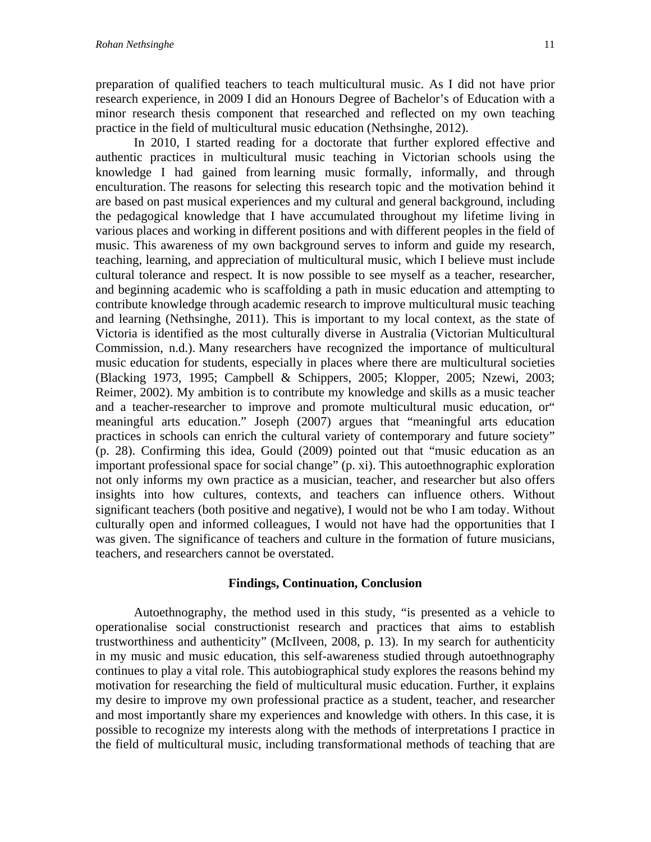preparation of qualified teachers to teach multicultural music. As I did not have prior research experience, in 2009 I did an Honours Degree of Bachelor's of Education with a minor research thesis component that researched and reflected on my own teaching practice in the field of multicultural music education (Nethsinghe, 2012).

In 2010, I started reading for a doctorate that further explored effective and authentic practices in multicultural music teaching in Victorian schools using the knowledge I had gained from learning music formally, informally, and through enculturation. The reasons for selecting this research topic and the motivation behind it are based on past musical experiences and my cultural and general background, including the pedagogical knowledge that I have accumulated throughout my lifetime living in various places and working in different positions and with different peoples in the field of music. This awareness of my own background serves to inform and guide my research, teaching, learning, and appreciation of multicultural music, which I believe must include cultural tolerance and respect. It is now possible to see myself as a teacher, researcher, and beginning academic who is scaffolding a path in music education and attempting to contribute knowledge through academic research to improve multicultural music teaching and learning (Nethsinghe, 2011). This is important to my local context, as the state of Victoria is identified as the most culturally diverse in Australia (Victorian Multicultural Commission, n.d.). Many researchers have recognized the importance of multicultural music education for students, especially in places where there are multicultural societies (Blacking 1973, 1995; Campbell & Schippers, 2005; Klopper, 2005; Nzewi, 2003; Reimer, 2002). My ambition is to contribute my knowledge and skills as a music teacher and a teacher-researcher to improve and promote multicultural music education, or" meaningful arts education." Joseph (2007) argues that "meaningful arts education practices in schools can enrich the cultural variety of contemporary and future society" (p. 28). Confirming this idea, Gould (2009) pointed out that "music education as an important professional space for social change" (p. xi). This autoethnographic exploration not only informs my own practice as a musician, teacher, and researcher but also offers insights into how cultures, contexts, and teachers can influence others. Without significant teachers (both positive and negative), I would not be who I am today. Without culturally open and informed colleagues, I would not have had the opportunities that I was given. The significance of teachers and culture in the formation of future musicians, teachers, and researchers cannot be overstated.

#### **Findings, Continuation, Conclusion**

Autoethnography, the method used in this study, "is presented as a vehicle to operationalise social constructionist research and practices that aims to establish trustworthiness and authenticity" (McIlveen, 2008, p. 13). In my search for authenticity in my music and music education, this self-awareness studied through autoethnography continues to play a vital role. This autobiographical study explores the reasons behind my motivation for researching the field of multicultural music education. Further, it explains my desire to improve my own professional practice as a student, teacher, and researcher and most importantly share my experiences and knowledge with others. In this case, it is possible to recognize my interests along with the methods of interpretations I practice in the field of multicultural music, including transformational methods of teaching that are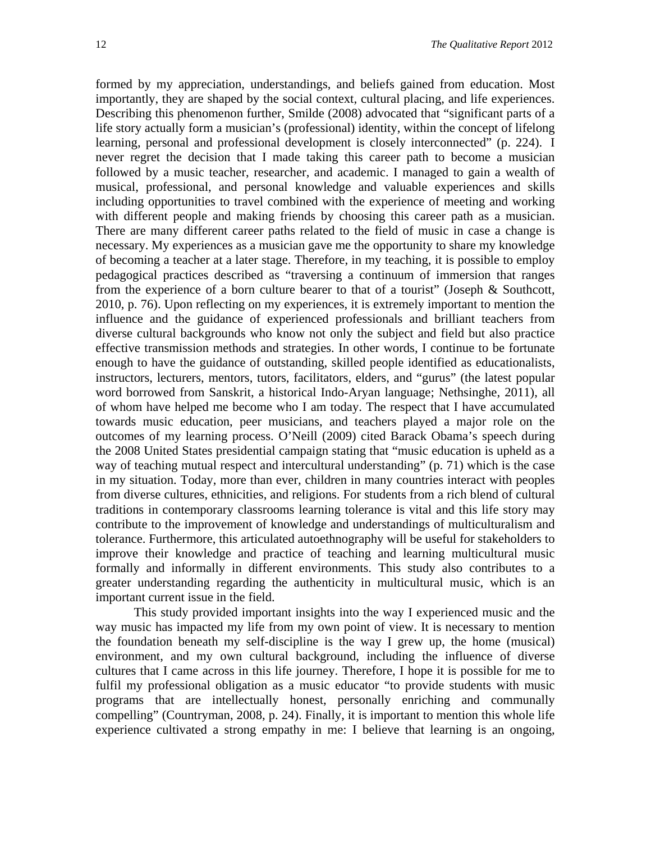formed by my appreciation, understandings, and beliefs gained from education. Most importantly, they are shaped by the social context, cultural placing, and life experiences. Describing this phenomenon further, Smilde (2008) advocated that "significant parts of a life story actually form a musician's (professional) identity, within the concept of lifelong learning, personal and professional development is closely interconnected" (p. 224). I never regret the decision that I made taking this career path to become a musician followed by a music teacher, researcher, and academic. I managed to gain a wealth of musical, professional, and personal knowledge and valuable experiences and skills including opportunities to travel combined with the experience of meeting and working with different people and making friends by choosing this career path as a musician. There are many different career paths related to the field of music in case a change is necessary. My experiences as a musician gave me the opportunity to share my knowledge of becoming a teacher at a later stage. Therefore, in my teaching, it is possible to employ pedagogical practices described as "traversing a continuum of immersion that ranges from the experience of a born culture bearer to that of a tourist" (Joseph & Southcott, 2010, p. 76). Upon reflecting on my experiences, it is extremely important to mention the influence and the guidance of experienced professionals and brilliant teachers from diverse cultural backgrounds who know not only the subject and field but also practice effective transmission methods and strategies. In other words, I continue to be fortunate enough to have the guidance of outstanding, skilled people identified as educationalists, instructors, lecturers, mentors, tutors, facilitators, elders, and "gurus" (the latest popular word borrowed from Sanskrit, a historical Indo-Aryan language; Nethsinghe, 2011), all of whom have helped me become who I am today. The respect that I have accumulated towards music education, peer musicians, and teachers played a major role on the outcomes of my learning process. O'Neill (2009) cited Barack Obama's speech during the 2008 United States presidential campaign stating that "music education is upheld as a way of teaching mutual respect and intercultural understanding" (p. 71) which is the case in my situation. Today, more than ever, children in many countries interact with peoples from diverse cultures, ethnicities, and religions. For students from a rich blend of cultural traditions in contemporary classrooms learning tolerance is vital and this life story may contribute to the improvement of knowledge and understandings of multiculturalism and tolerance. Furthermore, this articulated autoethnography will be useful for stakeholders to improve their knowledge and practice of teaching and learning multicultural music formally and informally in different environments. This study also contributes to a greater understanding regarding the authenticity in multicultural music, which is an important current issue in the field.

This study provided important insights into the way I experienced music and the way music has impacted my life from my own point of view. It is necessary to mention the foundation beneath my self-discipline is the way I grew up, the home (musical) environment, and my own cultural background, including the influence of diverse cultures that I came across in this life journey. Therefore, I hope it is possible for me to fulfil my professional obligation as a music educator "to provide students with music programs that are intellectually honest, personally enriching and communally compelling" (Countryman, 2008, p. 24). Finally, it is important to mention this whole life experience cultivated a strong empathy in me: I believe that learning is an ongoing,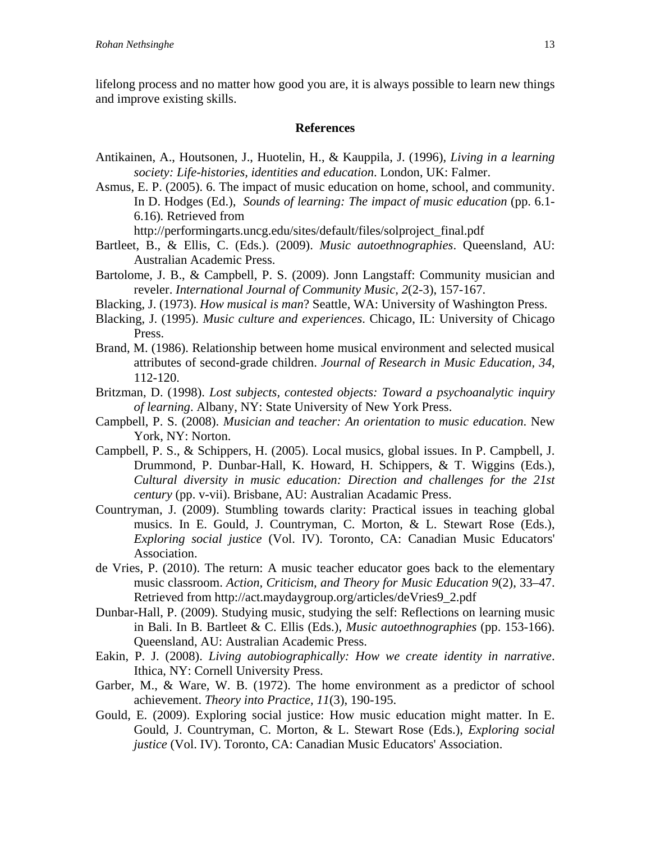lifelong process and no matter how good you are, it is always possible to learn new things and improve existing skills.

#### **References**

- Antikainen, A., Houtsonen, J., Huotelin, H., & Kauppila, J. (1996), *Living in a learning society: Life-histories, identities and education*. London, UK: Falmer.
- Asmus, E. P. (2005). 6. The impact of music education on home, school, and community. In D. Hodges (Ed.), *Sounds of learning: The impact of music education* (pp. 6.1- 6.16)*.* Retrieved from

http://performingarts.uncg.edu/sites/default/files/solproject\_final.pdf

- Bartleet, B., & Ellis, C. (Eds.). (2009). *Music autoethnographies*. Queensland, AU: Australian Academic Press.
- Bartolome, J. B., & Campbell, P. S. (2009). Jonn Langstaff: Community musician and reveler. *International Journal of Community Music, 2*(2-3), 157-167.
- Blacking, J. (1973). *How musical is man*? Seattle, WA: University of Washington Press.
- Blacking, J. (1995). *Music culture and experiences*. Chicago, IL: University of Chicago Press.
- Brand, M. (1986). Relationship between home musical environment and selected musical attributes of second-grade children. *Journal of Research in Music Education, 34*, 112-120.
- Britzman, D. (1998). *Lost subjects, contested objects: Toward a psychoanalytic inquiry of learning*. Albany, NY: State University of New York Press.
- Campbell, P. S. (2008). *Musician and teacher: An orientation to music education*. New York, NY: Norton.
- Campbell, P. S., & Schippers, H. (2005). Local musics, global issues. In P. Campbell, J. Drummond, P. Dunbar-Hall, K. Howard, H. Schippers, & T. Wiggins (Eds.), *Cultural diversity in music education: Direction and challenges for the 21st century* (pp. v-vii). Brisbane, AU: Australian Acadamic Press.
- Countryman, J. (2009). Stumbling towards clarity: Practical issues in teaching global musics. In E. Gould, J. Countryman, C. Morton, & L. Stewart Rose (Eds.), *Exploring social justice* (Vol. IV). Toronto, CA: Canadian Music Educators' Association.
- de Vries, P. (2010). The return: A music teacher educator goes back to the elementary music classroom. *Action, Criticism, and Theory for Music Education 9*(2), 33–47. Retrieved from [http://act.maydaygroup.org/articles/deVries9\\_2.pdf](http://act.maydaygroup.org/articles/deVries9_2.pdf)
- Dunbar-Hall, P. (2009). Studying music, studying the self: Reflections on learning music in Bali. In B. Bartleet & C. Ellis (Eds.), *Music autoethnographies* (pp. 153-166). Queensland, AU: Australian Academic Press.
- Eakin, P. J. (2008). *Living autobiographically: How we create identity in narrative*. Ithica, NY: Cornell University Press.
- Garber, M., & Ware, W. B. (1972). The home environment as a predictor of school achievement. *Theory into Practice, 11*(3), 190-195.
- Gould, E. (2009). Exploring social justice: How music education might matter. In E. Gould, J. Countryman, C. Morton, & L. Stewart Rose (Eds.), *Exploring social justice* (Vol. IV). Toronto, CA: Canadian Music Educators' Association.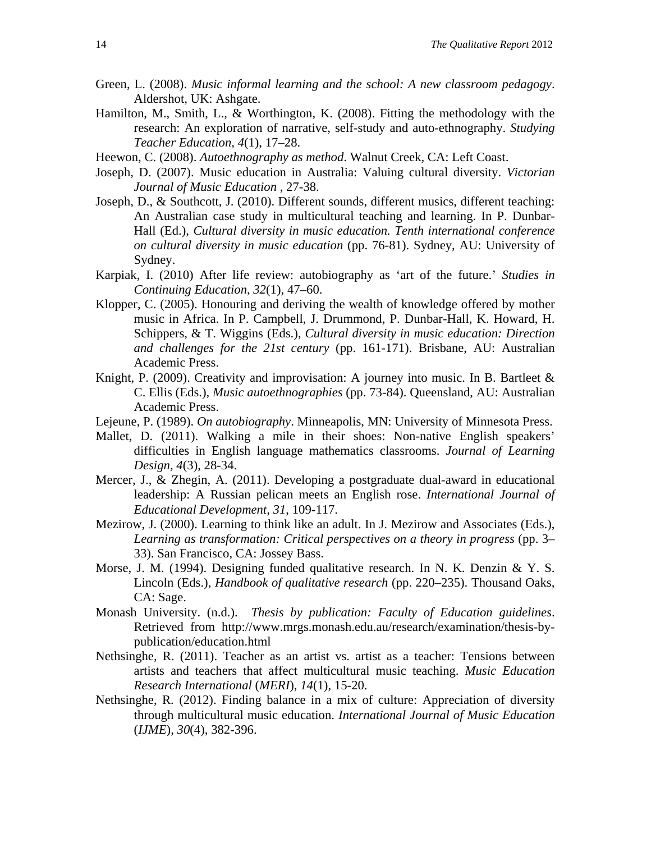- Green, L. (2008). *Music informal learning and the school: A new classroom pedagogy*. Aldershot, UK: Ashgate.
- Hamilton, M., Smith, L., & Worthington, K. (2008). Fitting the methodology with the research: An exploration of narrative, self-study and auto-ethnography. *Studying Teacher Education*, *4*(1), 17–28.
- Heewon, C. (2008). *Autoethnography as method*. Walnut Creek, CA: Left Coast.
- Joseph, D. (2007). Music education in Australia: Valuing cultural diversity. *Victorian Journal of Music Education* , 27-38.
- Joseph, D., & Southcott, J. (2010). Different sounds, different musics, different teaching: An Australian case study in multicultural teaching and learning. In P. Dunbar-Hall (Ed.), *Cultural diversity in music education. Tenth international conference on cultural diversity in music education* (pp. 76-81). Sydney, AU: University of Sydney.
- Karpiak, I. (2010) After life review: autobiography as 'art of the future.' *Studies in Continuing Education*, *32*(1), 47–60.
- Klopper, C. (2005). Honouring and deriving the wealth of knowledge offered by mother music in Africa. In P. Campbell, J. Drummond, P. Dunbar-Hall, K. Howard, H. Schippers, & T. Wiggins (Eds.), *Cultural diversity in music education: Direction and challenges for the 21st century* (pp. 161-171). Brisbane, AU: Australian Academic Press.
- Knight, P. (2009). Creativity and improvisation: A journey into music. In B. Bartleet  $\&$ C. Ellis (Eds.), *Music autoethnographies* (pp. 73-84). Queensland, AU: Australian Academic Press.
- Lejeune, P. (1989). *On autobiography*. Minneapolis, MN: University of Minnesota Press.
- Mallet, D. (2011). Walking a mile in their shoes: Non-native English speakers' difficulties in English language mathematics classrooms. *Journal of Learning Design, 4*(3), 28-34.
- Mercer, J., & Zhegin, A. (2011). Developing a postgraduate dual-award in educational leadership: A Russian pelican meets an English rose. *International Journal of Educational Development, 31*, 109-117.
- Mezirow, J. (2000). Learning to think like an adult. In J. Mezirow and Associates (Eds.), *Learning as transformation: Critical perspectives on a theory in progress* (pp. 3– 33). San Francisco, CA: Jossey Bass.
- Morse, J. M. (1994). Designing funded qualitative research. In N. K. Denzin & Y. S. Lincoln (Eds.), *Handbook of qualitative research* (pp. 220–235). Thousand Oaks, CA: Sage.
- Monash University. (n.d.). *Thesis by publication: Faculty of Education guidelines*. Retrieved from http://www.mrgs.monash.edu.au/research/examination/thesis-bypublication/education.html
- Nethsinghe, R. (2011). Teacher as an artist vs. artist as a teacher: Tensions between artists and teachers that affect multicultural music teaching. *Music Education Research International* (*MERI*), *14*(1), 15-20.
- Nethsinghe, R. (2012). Finding balance in a mix of culture: Appreciation of diversity through multicultural music education. *International Journal of Music Education*  (*IJME*)*, 30*(4), 382-396.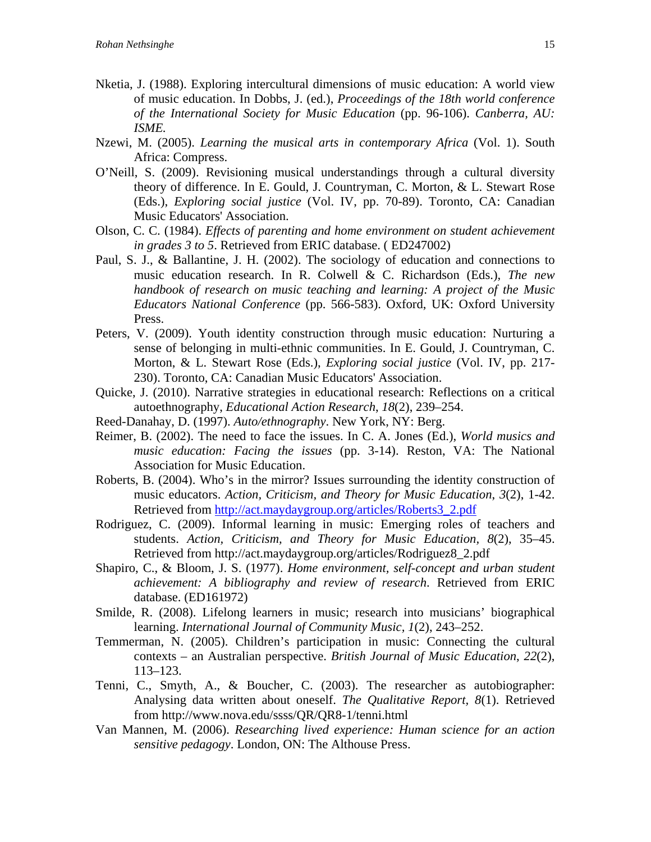- Nketia, J. (1988). Exploring intercultural dimensions of music education: A world view of music education. In Dobbs, J. (ed.), *Proceedings of the 18th world conference of the International Society for Music Education* (pp. 96-106). *Canberra, AU: ISME.*
- Nzewi, M. (2005). *Learning the musical arts in contemporary Africa* (Vol. 1). South Africa: Compress.
- O'Neill, S. (2009). Revisioning musical understandings through a cultural diversity theory of difference. In E. Gould, J. Countryman, C. Morton, & L. Stewart Rose (Eds.), *Exploring social justice* (Vol. IV, pp. 70-89). Toronto, CA: Canadian Music Educators' Association.
- Olson, C. C. (1984). *Effects of parenting and home environment on student achievement in grades 3 to 5*. Retrieved from ERIC database. ( ED247002)
- Paul, S. J., & Ballantine, J. H. (2002). The sociology of education and connections to music education research. In R. Colwell & C. Richardson (Eds.), *The new handbook of research on music teaching and learning: A project of the Music Educators National Conference* (pp. 566-583). Oxford, UK: Oxford University Press.
- Peters, V. (2009). Youth identity construction through music education: Nurturing a sense of belonging in multi-ethnic communities. In E. Gould, J. Countryman, C. Morton, & L. Stewart Rose (Eds.), *Exploring social justice* (Vol. IV, pp. 217- 230). Toronto, CA: Canadian Music Educators' Association.
- Quicke, J. (2010). Narrative strategies in educational research: Reflections on a critical autoethnography, *Educational Action Research*, *18*(2), 239–254.
- Reed-Danahay, D. (1997). *Auto/ethnography*. New York, NY: Berg.
- Reimer, B. (2002). The need to face the issues. In C. A. Jones (Ed.), *World musics and music education: Facing the issues* (pp. 3-14). Reston, VA: The National Association for Music Education.
- Roberts, B. (2004). Who's in the mirror? Issues surrounding the identity construction of music educators. *Action, Criticism, and Theory for Music Education*, *3*(2), 1-42. Retrieved from [http://act.maydaygroup.org/articles/Roberts3\\_2.pdf](http://act.maydaygroup.org/articles/Roberts3_2.pdf)
- Rodriguez, C. (2009). Informal learning in music: Emerging roles of teachers and students. *Action, Criticism, and Theory for Music Education, 8*(2), 35–45. Retrieved from [http://act.maydaygroup.org/articles/Rodriguez8\\_2.pdf](http://act.maydaygroup.org/articles/Rodriguez8_2.pdf)
- Shapiro, C., & Bloom, J. S. (1977). *Home environment, self-concept and urban student achievement: A bibliography and review of research*. Retrieved from ERIC database. (ED161972)
- Smilde, R. (2008). Lifelong learners in music; research into musicians' biographical learning. *International Journal of Community Music, 1*(2), 243–252.
- Temmerman, N. (2005). Children's participation in music: Connecting the cultural contexts – an Australian perspective. *British Journal of Music Education*, *22*(2), 113–123.
- Tenni, C., Smyth, A., & Boucher, C. (2003). The researcher as autobiographer: Analysing data written about oneself. *The Qualitative Report, 8*(1). Retrieved from http://www.nova.edu/ssss/QR/QR8-1/tenni.html
- Van Mannen, M. (2006). *Researching lived experience: Human science for an action sensitive pedagogy*. London, ON: The Althouse Press.